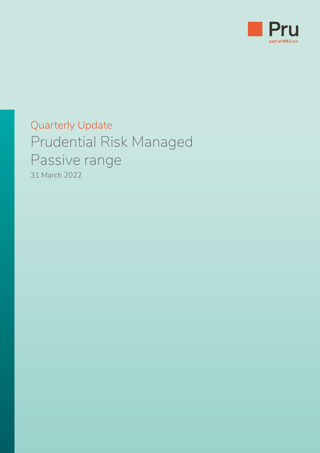

# Quarterly Update Prudential Risk Managed Passive range 31 March 2022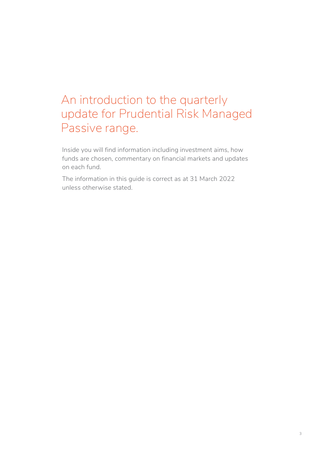# An introduction to the quarterly update for Prudential Risk Managed Passive range.

Inside you will find information including investment aims, how funds are chosen, commentary on financial markets and updates on each fund.

The information in this guide is correct as at 31 March 2022 unless otherwise stated.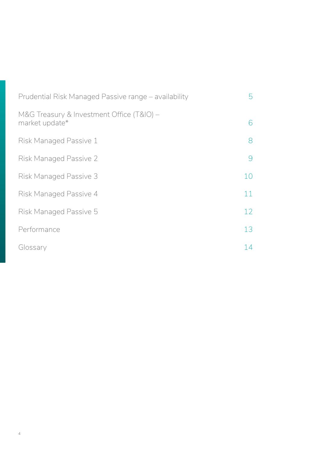| Prudential Risk Managed Passive range – availability        | 5  |
|-------------------------------------------------------------|----|
| M&G Treasury & Investment Office (T&IO) -<br>market update* | 6  |
| Risk Managed Passive 1                                      | 8  |
| <b>Risk Managed Passive 2</b>                               | 9  |
| <b>Risk Managed Passive 3</b>                               | 10 |
| Risk Managed Passive 4                                      | 11 |
| Risk Managed Passive 5                                      | 12 |
| Performance                                                 | 13 |
| Glossary                                                    | 14 |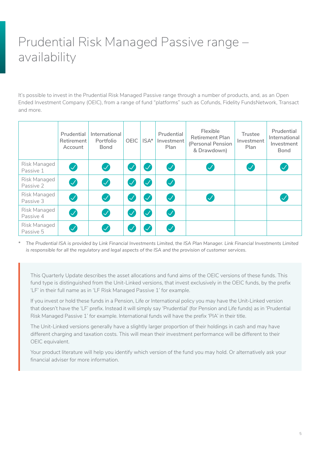# <span id="page-4-0"></span>Prudential Risk Managed Passive range – availability

It's possible to invest in the Prudential Risk Managed Passive range through a number of products, and, as an Open Ended Investment Company (OEIC), from a range of fund "platforms" such as Cofunds, Fidelity FundsNetwork, Transact and more.

|                           | Prudential<br>Retirement<br>Account                                                                                                                                                                                                          | International<br>Portfolio<br><b>Bond</b> | <b>OEIC</b>             | $ISA*$        | Prudential<br>Investment<br>Plan | Flexible<br><b>Retirement Plan</b><br>(Personal Pension<br>& Drawdown) | <b>Trustee</b><br>Investment<br>Plan | Prudential<br>International<br>Investment<br><b>Bond</b> |  |  |
|---------------------------|----------------------------------------------------------------------------------------------------------------------------------------------------------------------------------------------------------------------------------------------|-------------------------------------------|-------------------------|---------------|----------------------------------|------------------------------------------------------------------------|--------------------------------------|----------------------------------------------------------|--|--|
| Risk Managed<br>Passive 1 | $\mathcal{J}$                                                                                                                                                                                                                                | $\boldsymbol{Z}$                          | $\checkmark$            | $\checkmark$  | $\mathcal{S}$                    |                                                                        |                                      |                                                          |  |  |
| Risk Managed<br>Passive 2 | $\boldsymbol{\mathcal{U}}$                                                                                                                                                                                                                   | $\boldsymbol{Z}$                          | $\checkmark$            | $\checkmark$  | Ø                                |                                                                        |                                      |                                                          |  |  |
| Risk Managed<br>Passive 3 | $\blacktriangledown$                                                                                                                                                                                                                         | $\boldsymbol{Q}$                          | $\checkmark$            | $\mathcal{S}$ | $\boldsymbol{\mathcal{G}}$       |                                                                        |                                      |                                                          |  |  |
| Risk Managed<br>Passive 4 | $\boldsymbol{\mathcal{J}}$                                                                                                                                                                                                                   | $\bullet$                                 | $\mathcal{\mathcal{A}}$ | $\checkmark$  | $\bullet$                        |                                                                        |                                      |                                                          |  |  |
| Risk Managed<br>Passive 5 | $\boldsymbol{\mathcal{J}}$                                                                                                                                                                                                                   | $\boldsymbol{\mathcal{U}}$                | $\checkmark$            | $\checkmark$  | $\mathcal{S}$                    |                                                                        |                                      |                                                          |  |  |
| $\ast$                    | The Prudential ISA is provided by Link Financial Investments Limited, the ISA Plan Manager. Link Financial Investments Limited<br>is responsible for all the regulatory and legal aspects of the ISA and the provision of customer services. |                                           |                         |               |                                  |                                                                        |                                      |                                                          |  |  |

*\* The Prudential ISA is provided by Link Financial Investments Limited, the ISA Plan Manager. Link Financial Investments Limited* 

This Quarterly Update describes the asset allocations and fund aims of the OEIC versions of these funds. This fund type is distinguished from the Unit-Linked versions, that invest exclusively in the OEIC funds, by the prefix 'LF' in their full name as in 'LF Risk Managed Passive 1' for example.

If you invest or hold these funds in a Pension, Life or International policy you may have the Unit-Linked version that doesn't have the 'LF' prefix. Instead it will simply say 'Prudential' (for Pension and Life funds) as in 'Prudential Risk Managed Passive 1' for example. International funds will have the prefix 'PIA' in their title.

The Unit-Linked versions generally have a slightly larger proportion of their holdings in cash and may have different charging and taxation costs. This will mean their investment performance will be different to their OEIC equivalent.

Your product literature will help you identify which version of the fund you may hold. Or alternatively ask your financial adviser for more information.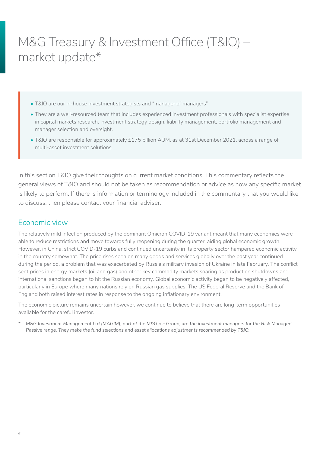# <span id="page-5-0"></span>M&G Treasury & Investment Office (T&IO) – market update\*

- T&IO are our in-house investment strategists and "manager of managers"
- They are a well-resourced team that includes experienced investment professionals with specialist expertise in capital markets research, investment strategy design, liability management, portfolio management and manager selection and oversight.
- T&IO are responsible for approximately £175 billion AUM, as at 31st December 2021, across a range of multi-asset investment solutions.

In this section T&IO give their thoughts on current market conditions. This commentary reflects the general views of T&IO and should not be taken as recommendation or advice as how any specific market is likely to perform. If there is information or terminology included in the commentary that you would like to discuss, then please contact your financial adviser.

### Economic view

The relatively mild infection produced by the dominant Omicron COVID-19 variant meant that many economies were able to reduce restrictions and move towards fully reopening during the quarter, aiding global economic growth. However, in China, strict COVID-19 curbs and continued uncertainty in its property sector hampered economic activity in the country somewhat. The price rises seen on many goods and services globally over the past year continued during the period, a problem that was exacerbated by Russia's military invasion of Ukraine in late February. The conflict sent prices in energy markets (oil and gas) and other key commodity markets soaring as production shutdowns and international sanctions began to hit the Russian economy. Global economic activity began to be negatively affected, particularly in Europe where many nations rely on Russian gas supplies. The US Federal Reserve and the Bank of England both raised interest rates in response to the ongoing inflationary environment.

The economic picture remains uncertain however, we continue to believe that there are long-term opportunities available for the careful investor.

*\* M&G Investment Management Ltd (MAGIM), part of the M&G plc Group, are the investment managers for the Risk Managed Passive range. They make the fund selections and asset allocations adjustments recommended by T&IO.*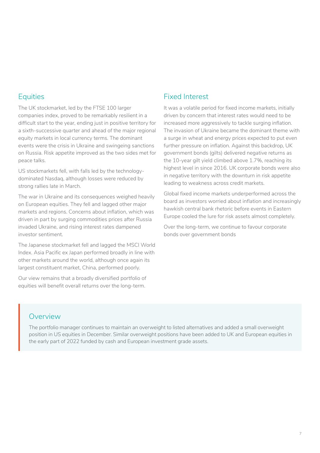# **Equities**

The UK stockmarket, led by the FTSE 100 larger companies index, proved to be remarkably resilient in a difficult start to the year, ending just in positive territory for a sixth-successive quarter and ahead of the major regional equity markets in local currency terms. The dominant events were the crisis in Ukraine and swingeing sanctions on Russia. Risk appetite improved as the two sides met for peace talks.

US stockmarkets fell, with falls led by the technologydominated Nasdaq, although losses were reduced by strong rallies late in March.

The war in Ukraine and its consequences weighed heavily on European equities. They fell and lagged other major markets and regions. Concerns about inflation, which was driven in part by surging commodities prices after Russia invaded Ukraine, and rising interest rates dampened investor sentiment.

The Japanese stockmarket fell and lagged the MSCI World Index. Asia Pacific ex Japan performed broadly in line with other markets around the world, although once again its largest constituent market, China, performed poorly.

Our view remains that a broadly diversified portfolio of equities will benefit overall returns over the long-term.

### Fixed Interest

It was a volatile period for fixed income markets, initially driven by concern that interest rates would need to be increased more aggressively to tackle surging inflation. The invasion of Ukraine became the dominant theme with a surge in wheat and energy prices expected to put even further pressure on inflation. Against this backdrop, UK government bonds (gilts) delivered negative returns as the 10-year gilt yield climbed above 1.7%, reaching its highest level in since 2016. UK corporate bonds were also in negative territory with the downturn in risk appetite leading to weakness across credit markets.

Global fixed income markets underperformed across the board as investors worried about inflation and increasingly hawkish central bank rhetoric before events in Eastern Europe cooled the lure for risk assets almost completely.

Over the long-term, we continue to favour corporate bonds over government bonds

#### Overview

The portfolio manager continues to maintain an overweight to listed alternatives and added a small overweight position in US equities in December. Similar overweight positions have been added to UK and European equities in the early part of 2022 funded by cash and European investment grade assets.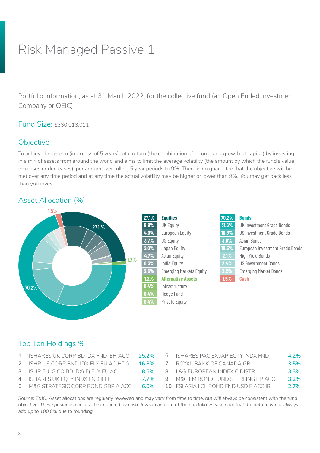<span id="page-7-0"></span>Portfolio Information, as at 31 March 2022, for the collective fund (an Open Ended Investment Company or OEIC)

### Fund Size: £330,013,011

### **Objective**

To achieve long-term (in excess of 5 years) total return (the combination of income and growth of capital) by investing in a mix of assets from around the world and aims to limit the average volatility (the amount by which the fund's value increases or decreases), per annum over rolling 5 year periods to 9%. There is no guarantee that the objective will be met over any time period and at any time the actual volatility may be higher or lower than 9%. You may get back less than you invest.

#### Asset Allocation (%)



### Top Ten Holdings %

- **1** ISHARES UK CORP BD IDX FND IEH ACC **25.2%**
- **2** ISHR US CORP BND IDX FLX EU AC HDG **16.8%**
- **3** ISHR EU IG CO BD IDX(IE) FLX EU AC **8.5%**
- **4** ISHARES UK EQTY INDX FND IEH **7.7%**
- **5** M&G STRATEGIC CORP BOND GBP A ACC 6.0%

|  | ISHARES PAC EX JAP EQTY INDX FND I    | 4.2%    |
|--|---------------------------------------|---------|
|  | ROYAL BANK OF CANADA GB               | 3.5%    |
|  | 8 L&G EUROPEAN INDEX C DISTR          | 3.3%    |
|  | M&G EM BOND FUND STERLING PP ACC      | $3.2\%$ |
|  | 10 FSI ASIA LCL BOND FND USD F ACC IB | 2.7%    |
|  |                                       |         |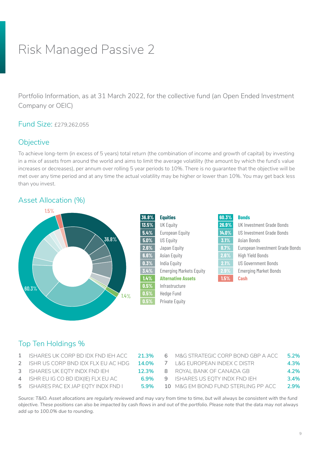<span id="page-8-0"></span>Portfolio Information, as at 31 March 2022, for the collective fund (an Open Ended Investment Company or OEIC)

#### Fund Size: £279,262,055

### **Objective**

To achieve long-term (in excess of 5 years) total return (the combination of income and growth of capital) by investing in a mix of assets from around the world and aims to limit the average volatility (the amount by which the fund's value increases or decreases), per annum over rolling 5 year periods to 10%. There is no guarantee that the objective will be met over any time period and at any time the actual volatility may be higher or lower than 10%. You may get back less than you invest.

### Asset Allocation (%)



| 36.8%   | <b>Equities</b>                | 60.3% | <b>Bonds</b>            |
|---------|--------------------------------|-------|-------------------------|
| 13.5%   | <b>UK Equity</b>               | 26.9% | UK Investment G         |
| 5.4%    | <b>European Equity</b>         | 14.0% | US Investment G         |
| $5.0\%$ | <b>US Equity</b>               | 3.1%  | Asian Bonds             |
| 2.6%    | Japan Equity                   | 8.7%  | European Invest         |
| 6.6%    | Asian Equity                   | 2.6%  | <b>High Yield Bonds</b> |
| 0.3%    | India Equity                   | 2.1%  | <b>US Government F</b>  |
| 3.4%    | <b>Emerging Markets Equity</b> | 2.9%  | <b>Emerging Market</b>  |
| 1.4%    | <b>Alternative Assets</b>      | 1.5%  | Cash                    |
| 0.5%    | Infrastructure                 |       |                         |
| $0.5\%$ | <b>Hedge Fund</b>              |       |                         |
| 0.5%    | <b>Private Equity</b>          |       |                         |

| 36.8%    | <b>Equities</b>                | 60.3% | <b>Bonds</b>                     |
|----------|--------------------------------|-------|----------------------------------|
| $13.5\%$ | <b>UK Equity</b>               | 26.9% | UK Investment Grade Bonds        |
| 5.4%     | <b>European Equity</b>         | 14.0% | <b>US Investment Grade Bonds</b> |
| $5.0\%$  | <b>US Equity</b>               | 3.1%  | Asian Bonds                      |
| 2.6%     | Japan Equity                   | 8.7%  | European Investment Grade Bonds  |
| 6.6%     | Asian Equity                   | 2.6%  | <b>High Yield Bonds</b>          |
| 0.3%     | India Equity                   | 2.1%  | <b>US Government Bonds</b>       |
| 3.4%     | <b>Emerging Markets Equity</b> | 2.9%  | <b>Emerging Market Bonds</b>     |
| 1.4%     | <b>Alternative Assets</b>      | 1.5%  | <b>Cash</b>                      |
|          |                                |       |                                  |

# Top Ten Holdings %

- **1** ISHARES UK CORP BD IDX FND IEH ACC **21.3%**
- **2** ISHR US CORP BND IDX FLX EU AC HDG **14.0%**
- **3** ISHARES UK EQTY INDX FND IEH **12.3%**
- **4** ISHR EU IG CO BD IDX(IE) FLX EU AC **6.9%**
- **5** ISHARES PAC EX JAP EQTY INDX FND **1** 5.9%

| 6 | M&G STRATEGIC CORP BOND GBP A ACC.  | $5.2\%$ |
|---|-------------------------------------|---------|
|   | 7 L&G EUROPEAN INDEX C DISTR        | 4.3%    |
|   | 8 ROYAL BANK OF CANADA GB           | 4.2%    |
|   | 9 ISHARES US EQTY INDX FND IEH      | 3.4%    |
|   | 10 M&G EM BOND FUND STERLING PP ACC | 2.9%    |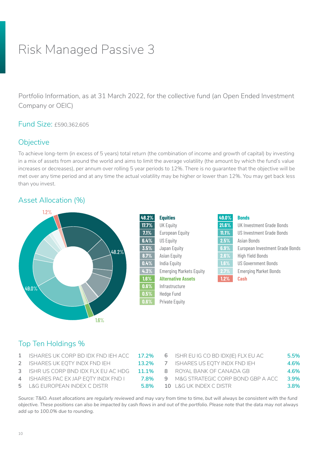<span id="page-9-0"></span>Portfolio Information, as at 31 March 2022, for the collective fund (an Open Ended Investment Company or OEIC)

#### Fund Size: £590,362,605

### **Objective**

To achieve long-term (in excess of 5 years) total return (the combination of income and growth of capital) by investing in a mix of assets from around the world and aims to limit the average volatility (the amount by which the fund's value increases or decreases), per annum over rolling 5 year periods to 12%. There is no guarantee that the objective will be met over any time period and at any time the actual volatility may be higher or lower than 12%. You may get back less than you invest.

### Asset Allocation (%)



| <b>Equities</b>                | 49.0%    | <b>Bonds</b>                    |
|--------------------------------|----------|---------------------------------|
| <b>UK Equity</b>               | 21.6%    | UK Investment Grade Bonds       |
| <b>European Equity</b>         | $11.1\%$ | US Investment Grade Bonds       |
| <b>US Equity</b>               | 2.5%     | Asian Bonds                     |
| Japan Equity                   | 6.9%     | European Investment Grade Bonds |
| Asian Equity                   | 2.6%     | <b>High Yield Bonds</b>         |
| India Equity                   | $1.6\%$  | <b>US Government Bonds</b>      |
| <b>Emerging Markets Equity</b> | 2.7%     | <b>Emerging Market Bonds</b>    |
| <b>Alternative Assets</b>      | 1.2%     | <b>Cash</b>                     |
|                                |          |                                 |

# Top Ten Holdings %

- **1** ISHARES UK CORP BD IDX FND IEH ACC **17.2%**
- **2** ISHARES UK EQTY INDX FND IEH **13.2%**
- **3** ISHR US CORP BND IDX FLX EU AC HDG **11.1%**
- **4** ISHARES PAC EX JAP EQTY INDX FND I **7.8%**
- **5** L&G EUROPEAN INDEX C DISTR **5.8% 10** L&G UK INDEX C DISTR **3.8%**

| 6 ISHR EU IG CO BD IDX(IE) FLX EU AC | 5.5% |
|--------------------------------------|------|
| ISHARES US EQTY INDX FND IEH         | 4.6% |
| 8 ROYAL BANK OF CANADA GB            | 4.6% |
| M&G STRATEGIC CORP BOND GBP A ACC.   | 3.9% |
| 10 L&G UK INDEX C DISTR              | 3.8% |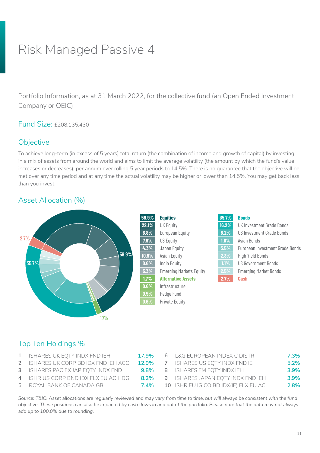<span id="page-10-0"></span>Portfolio Information, as at 31 March 2022, for the collective fund (an Open Ended Investment Company or OEIC)

Fund Size: £208,135,430

### **Objective**

To achieve long-term (in excess of 5 years) total return (the combination of income and growth of capital) by investing in a mix of assets from around the world and aims to limit the average volatility (the amount by which the fund's value increases or decreases), per annum over rolling 5 year periods to 14.5%. There is no guarantee that the objective will be met over any time period and at any time the actual volatility may be higher or lower than 14.5%. You may get back less than you invest.

#### Asset Allocation (%)



### Top Ten Holdings %

- **1** ISHARES UK EQTY INDX FND IEH **17.9%**
- **2** ISHARES UK CORP BD IDX FND IEH ACC **12.9%**
- **3** ISHARES PAC EX JAP EQTY INDX FND I **9.8% 8** ISHARES EM EQTY INDX IEH **3.9%**
- **4** ISHR US CORP BND IDX FLX EU AC HDG **8.2%**
- **5** ROYAL BANK OF CANADA GB **7.4%**

| 6 | L&G EUROPEAN INDEX C DISTR            | 7.3% |
|---|---------------------------------------|------|
|   | 7 ISHARES US EQTY INDX FND IEH        | 5.2% |
|   | 8 ISHARES EM EQTY INDX IEH            | 3.9% |
|   | 9 ISHARES JAPAN EQTY INDX FND IEH     | 3.9% |
|   | 10 ISHR EU IG CO BD IDX(IE) FLX EU AC | 2.8% |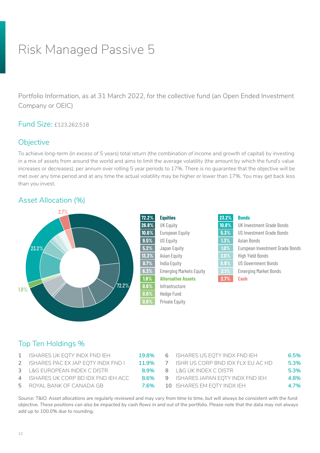<span id="page-11-0"></span>Portfolio Information, as at 31 March 2022, for the collective fund (an Open Ended Investment Company or OEIC)

#### Fund Size: £123,262,518

### **Objective**

To achieve long-term (in excess of 5 years) total return (the combination of income and growth of capital) by investing in a mix of assets from around the world and aims to limit the average volatility (the amount by which the fund's value increases or decreases), per annum over rolling 5 year periods to 17%. There is no guarantee that the objective will be met over any time period and at any time the actual volatility may be higher or lower than 17%. You may get back less than you invest.

### Asset Allocation (%)



# Top Ten Holdings %

- **1** ISHARES UK EQTY INDX FND IEH **19.8% 6** ISHARES US EQTY INDX FND IEH **6.5%**
- **2** ISHARES PAC EX JAP EQTY INDX FND **11.9%**
- **3** L&G EUROPEAN INDEX C DISTR **8.9% 8** L&G UK INDEX C DISTR **5.3%**
- **4** ISHARES UK CORP BD IDX FND IEH ACC **8.6%**
- **5** ROYAL BANK OF CANADA GB **7.6%**

|  | 6 ISHARES US EQTY INDX FND IEH      | 6.5% |
|--|-------------------------------------|------|
|  | 7 ISHR US CORP BND IDX FLX EU AC HD | 5.3% |
|  | 8 L&G UK INDEX C DISTR              | 5.3% |
|  | 9 ISHARES JAPAN EQTY INDX FND IEH   | 4.8% |
|  | 10 ISHARES EM EQTY INDX IEH         | 4.7% |
|  |                                     |      |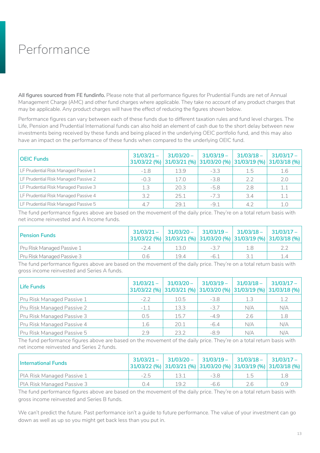# <span id="page-12-0"></span>Performance

**All figures sourced from FE fundinfo.** Please note that all performance figures for Prudential Funds are net of Annual Management Charge (AMC) and other fund charges where applicable. They take no account of any product charges that may be applicable. Any product charges will have the effect of reducing the figures shown below.

Performance figures can vary between each of these funds due to different taxation rules and fund level charges. The Life, Pension and Prudential International funds can also hold an element of cash due to the short delay between new investments being received by these funds and being placed in the underlying OEIC portfolio fund, and this may also have an impact on the performance of these funds when compared to the underlying OEIC fund.

| <b>OEIC Funds</b>                    | $31/03/21 -$<br>31/03/22 (%) | $31/03/20 -$ | $31/03/19 -$ | $31/03/18 -$ | $31/03/17 -$<br>31/03/21 (%) 31/03/20 (%) 31/03/19 (%) 31/03/18 (%) |
|--------------------------------------|------------------------------|--------------|--------------|--------------|---------------------------------------------------------------------|
| LF Prudential Risk Managed Passive 1 | $-1.8$                       | 13.9         | $-3.3$       | 1.5          | 1.6                                                                 |
| LF Prudential Risk Managed Passive 2 | $-0.3$                       | 17.0         | $-3.8$       | 2.2          | 2.0                                                                 |
| LF Prudential Risk Managed Passive 3 | 1.3                          | 20.3         | $-5.8$       | 2.8          | 1.1                                                                 |
| LF Prudential Risk Managed Passive 4 | 3.2                          | 25.1         | $-7.3$       | 3.4          | 1.1                                                                 |
| LF Prudential Risk Managed Passive 5 | 4.7                          | 29.1         | $-9.1$       | 4.7          | 1.0                                                                 |

The fund performance figures above are based on the movement of the daily price. They're on a total return basis with net income reinvested and A Income funds.

| <b>Pension Funds</b>              | $31/03/21 -$<br>$ 31/03/22 \, (%)  31/03/21 \, (%)  31/03/20 \, (%)  31/03/19 \, (%)  31/03/18 \, (%)$ |      | $31/03/20 -$ 31/03/19 - 31/03/18 - 31/03/17 - |    |     |
|-----------------------------------|--------------------------------------------------------------------------------------------------------|------|-----------------------------------------------|----|-----|
| Pru Risk Managed Passive 1        | $-24$                                                                                                  | 13.0 | -37                                           | 18 |     |
| <b>Pru Risk Managed Passive 3</b> | 0.6                                                                                                    | 19.4 | $-6.1$                                        |    | 1.4 |

The fund performance figures above are based on the movement of the daily price. They're on a total return basis with gross income reinvested and Series A funds.

| Life Funds                 | $31/03/21 -$<br>31/03/22 (%) | $31/03/20 -$<br>31/03/21 (%) 31/03/20 (%) | $31/03/19 -$ | $31/03/18 -$ | $31/03/17 -$<br> 31/03/19(%) 31/03/18(%) |
|----------------------------|------------------------------|-------------------------------------------|--------------|--------------|------------------------------------------|
| Pru Risk Managed Passive 1 | $-2.2$                       | 10.5                                      | $-3.8$       | 1.3          | 1.2                                      |
| Pru Risk Managed Passive 2 | $-1.1$                       | 13.3                                      | $-3.7$       | N/A          | N/A                                      |
| Pru Risk Managed Passive 3 | 0.5                          | 15.7                                      | $-4.9$       | 2.6          | 1.8                                      |
| Pru Risk Managed Passive 4 | 1.6                          | 20.1                                      | $-6.4$       | N/A          | N/A                                      |
| Pru Risk Managed Passive 5 | 2.9                          | 23.2                                      | $-8.9$       | N/A          | N/A                                      |

The fund performance figures above are based on the movement of the daily price. They're on a total return basis with net income reinvested and Series 2 funds.

| <b>International Funds</b>        | $31/03/21 -$ | $ 31/03/20 -$ | $ 31/03/19 -  $ | $ 31/03/18 -  31/03/17 -$ | $ 31/03/22 \, (%)  31/03/21 \, (%)  31/03/20 \, (%)  31/03/19 \, (%)  31/03/18 \, (%)  $ |
|-----------------------------------|--------------|---------------|-----------------|---------------------------|------------------------------------------------------------------------------------------|
| PIA Risk Managed Passive 1        | $-2.5$       |               | $-3.8$          | 1.b                       |                                                                                          |
| <b>PIA Risk Managed Passive 3</b> | N 4          | 19.7          | $-6.6$          | 2.6                       | 0.9                                                                                      |

The fund performance figures above are based on the movement of the daily price. They're on a total return basis with gross income reinvested and Series B funds.

We can't predict the future. Past performance isn't a guide to future performance. The value of your investment can go down as well as up so you might get back less than you put in.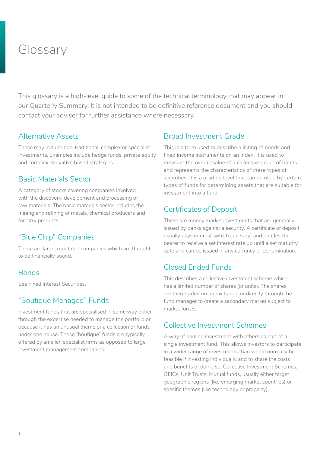# <span id="page-13-0"></span>Glossary

This glossary is a high-level guide to some of the technical terminology that may appear in our Quarterly Summary. It is not intended to be definitive reference document and you should contact your adviser for further assistance where necessary.

#### Alternative Assets

These may include non-traditional, complex or specialist investments. Examples include hedge funds, private equity and complex derivative based strategies.

### Basic Materials Sector

A category of stocks covering companies involved with the discovery, development and processing of raw materials. The basic materials sector includes the mining and refining of metals, chemical producers and forestry products.

### "Blue Chip" Companies

These are large, reputable companies which are thought to be financially sound.

#### **Bonds**

See Fixed Interest Securities.

#### "Boutique Managed" Funds

Investment funds that are specialised in some way either through the expertise needed to manage the portfolio or because it has an unusual theme or a collection of funds under one house. These "boutique" funds are typically offered by smaller, specialist firms as opposed to large investment management companies.

### Broad Investment Grade

This is a term used to describe a listing of bonds and fixed income instruments on an index. It is used to measure the overall value of a collective group of bonds and represents the characteristics of these types of securities. It is a grading level that can be used by certain types of funds for determining assets that are suitable for investment into a fund.

#### Certificates of Deposit

These are money market investments that are generally issued by banks against a security. A certificate of deposit usually pays interest (which can vary) and entitles the bearer to receive a set interest rate up until a set maturity date and can be issued in any currency or denomination.

### Closed Ended Funds

This describes a collective investment scheme which has a limited number of shares (or units). The shares are then traded on an exchange or directly through the fund manager to create a secondary market subject to market forces.

#### Collective Investment Schemes

A way of pooling investment with others as part of a single investment fund. This allows investors to participate in a wider range of investments than would normally be feasible if investing individually and to share the costs and benefits of doing so. Collective Investment Schemes, OEICs, Unit Trusts, Mutual funds, usually either target geographic regions (like emerging market countries) or specific themes (like technology or property).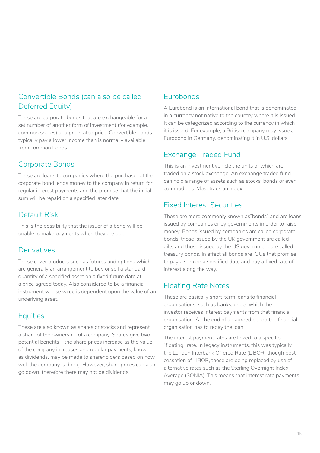# Convertible Bonds (can also be called Deferred Equity)

These are corporate bonds that are exchangeable for a set number of another form of investment (for example, common shares) at a pre-stated price. Convertible bonds typically pay a lower income than is normally available from common bonds.

### Corporate Bonds

These are loans to companies where the purchaser of the corporate bond lends money to the company in return for regular interest payments and the promise that the initial sum will be repaid on a specified later date.

# Default Risk

This is the possibility that the issuer of a bond will be unable to make payments when they are due.

# **Derivatives**

These cover products such as futures and options which are generally an arrangement to buy or sell a standard quantity of a specified asset on a fixed future date at a price agreed today. Also considered to be a financial instrument whose value is dependent upon the value of an underlying asset.

# **Equities**

These are also known as shares or stocks and represent a share of the ownership of a company. Shares give two potential benefits – the share prices increase as the value of the company increases and regular payments, known as dividends, may be made to shareholders based on how well the company is doing. However, share prices can also go down, therefore there may not be dividends.

# Eurobonds

A Eurobond is an international bond that is denominated in a currency not native to the country where it is issued. It can be categorized according to the currency in which it is issued. For example, a British company may issue a Eurobond in Germany, denominating it in U.S. dollars.

# Exchange-Traded Fund

This is an investment vehicle the units of which are traded on a stock exchange. An exchange traded fund can hold a range of assets such as stocks, bonds or even commodities. Most track an index.

### Fixed Interest Securities

These are more commonly known as"bonds" and are loans issued by companies or by governments in order to raise money. Bonds issued by companies are called corporate bonds, those issued by the UK government are called gilts and those issued by the US government are called treasury bonds. In effect all bonds are IOUs that promise to pay a sum on a specified date and pay a fixed rate of interest along the way.

# Floating Rate Notes

These are basically short-term loans to financial organisations, such as banks, under which the investor receives interest payments from that financial organisation. At the end of an agreed period the financial organisation has to repay the loan.

The interest payment rates are linked to a specified "floating" rate. In legacy instruments, this was typically the London Interbank Offered Rate (LIBOR) though post cessation of LIBOR, these are being replaced by use of alternative rates such as the Sterling Overnight Index Average (SONIA). This means that interest rate payments may go up or down.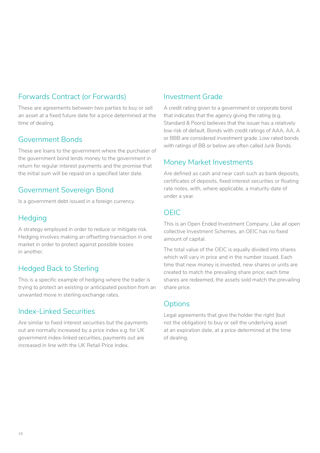# Forwards Contract (or Forwards)

These are agreements between two parties to buy or sell an asset at a fixed future date for a price determined at the time of dealing.

### Government Bonds

These are loans to the government where the purchaser of the government bond lends money to the government in return for regular interest payments and the promise that the initial sum will be repaid on a specified later date.

#### Government Sovereign Bond

Is a government debt issued in a foreign currency.

### **Hedging**

A strategy employed in order to reduce or mitigate risk. Hedging involves making an offsetting transaction in one market in order to protect against possible losses in another.

# Hedged Back to Sterling

This is a specific example of hedging where the trader is trying to protect an existing or anticipated position from an unwanted move in sterling exchange rates.

#### Index-Linked Securities

Are similar to fixed interest securities but the payments out are normally increased by a price index e.g. for UK government index-linked securities, payments out are increased in line with the UK Retail Price Index.

#### Investment Grade

A credit rating given to a government or corporate bond that indicates that the agency giving the rating (e.g. Standard & Poors) believes that the issuer has a relatively low risk of default. Bonds with credit ratings of AAA, AA, A or BBB are considered investment grade. Low rated bonds with ratings of BB or below are often called Junk Bonds.

### Money Market Investments

Are defined as cash and near cash such as bank deposits, certificates of deposits, fixed interest securities or floating rate notes, with, where applicable, a maturity date of under a year.

# OEIC

This is an Open Ended Investment Company. Like all open collective Investment Schemes, an OEIC has no fixed amount of capital.

The total value of the OEIC is equally divided into shares which will vary in price and in the number issued. Each time that new money is invested, new shares or units are created to match the prevailing share price; each time shares are redeemed, the assets sold match the prevailing share price.

# **Options**

Legal agreements that give the holder the right (but not the obligation) to buy or sell the underlying asset at an expiration date, at a price determined at the time of dealing.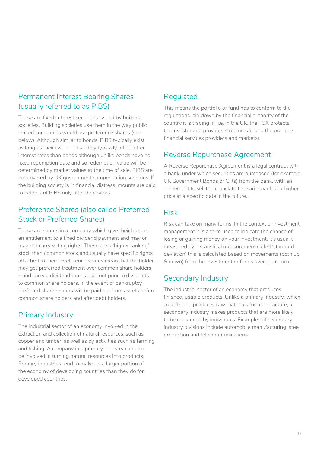# Permanent Interest Bearing Shares (usually referred to as PIBS)

These are fixed-interest securities issued by building societies. Building societies use them in the way public limited companies would use preference shares (see below). Although similar to bonds, PIBS typically exist as long as their issuer does. They typically offer better interest rates than bonds although unlike bonds have no fixed redemption date and so redemption value will be determined by market values at the time of sale. PIBS are not covered by UK government compensation schemes. If the building society is in financial distress, mounts are paid to holders of PIBS only after depositors.

# Preference Shares (also called Preferred Stock or Preferred Shares)

These are shares in a company which give their holders an entitlement to a fixed dividend payment and may or may not carry voting rights. These are a 'higher ranking' stock than common stock and usually have specific rights attached to them. Preference shares mean that the holder may get preferred treatment over common share holders – and carry a dividend that is paid out prior to dividends to common share holders. In the event of bankruptcy preferred share holders will be paid out from assets before common share holders and after debt holders.

# Primary Industry

The industrial sector of an economy involved in the extraction and collection of natural resources, such as copper and timber, as well as by activities such as farming and fishing. A company in a primary industry can also be involved in turning natural resources into products. Primary industries tend to make up a larger portion of the economy of developing countries than they do for developed countries.

# Regulated

This means the portfolio or fund has to conform to the regulations laid down by the financial authority of the country it is trading in (i.e. in the UK, the FCA protects the investor and provides structure around the products, financial services providers and markets).

# Reverse Repurchase Agreement

A Reverse Repurchase Agreement is a legal contract with a bank, under which securities are purchased (for example, UK Government Bonds or Gilts) from the bank, with an agreement to sell them back to the same bank at a higher price at a specific date in the future.

# Risk

Risk can take on many forms. In the context of investment management it is a term used to indicate the chance of losing or gaining money on your investment. It's usually measured by a statistical measurement called 'standard deviation' this is calculated based on movements (both up & down) from the investment or funds average return.

# Secondary Industry

The industrial sector of an economy that produces finished, usable products. Unlike a primary industry, which collects and produces raw materials for manufacture, a secondary industry makes products that are more likely to be consumed by individuals. Examples of secondary industry divisions include automobile manufacturing, steel production and telecommunications.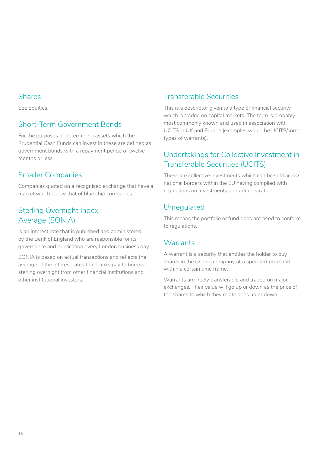#### Shares

See Equities.

# Short-Term Government Bonds

For the purposes of determining assets which the Prudential Cash Funds can invest in these are defined as government bonds with a repayment period of twelve months or less.

# Smaller Companies

Companies quoted on a recognised exchange that have a market worth below that of blue chip companies.

# Sterling Overnight Index Average (SONIA)

Is an interest rate that is published and administered by the Bank of England who are responsible for its governance and publication every London business day.

SONIA is based on actual transactions and reflects the average of the interest rates that banks pay to borrow sterling overnight from other financial institutions and other institutional investors.

# Transferable Securities

This is a descriptor given to a type of financial security which is traded on capital markets. The term is probably most commonly known and used in association with UCITS in UK and Europe (examples would be UCITS/some types of warrants).

# Undertakings for Collective Investment in Transferable Securities (UCITS)

These are collective investments which can be sold across national borders within the EU having complied with regulations on investments and administration.

# Unregulated

This means the portfolio or fund does not need to conform to regulations.

# **Warrants**

A warrant is a security that entitles the holder to buy shares in the issuing company at a specified price and within a certain time frame.

Warrants are freely transferable and traded on major exchanges. Their value will go up or down as the price of the shares to which they relate goes up or down.